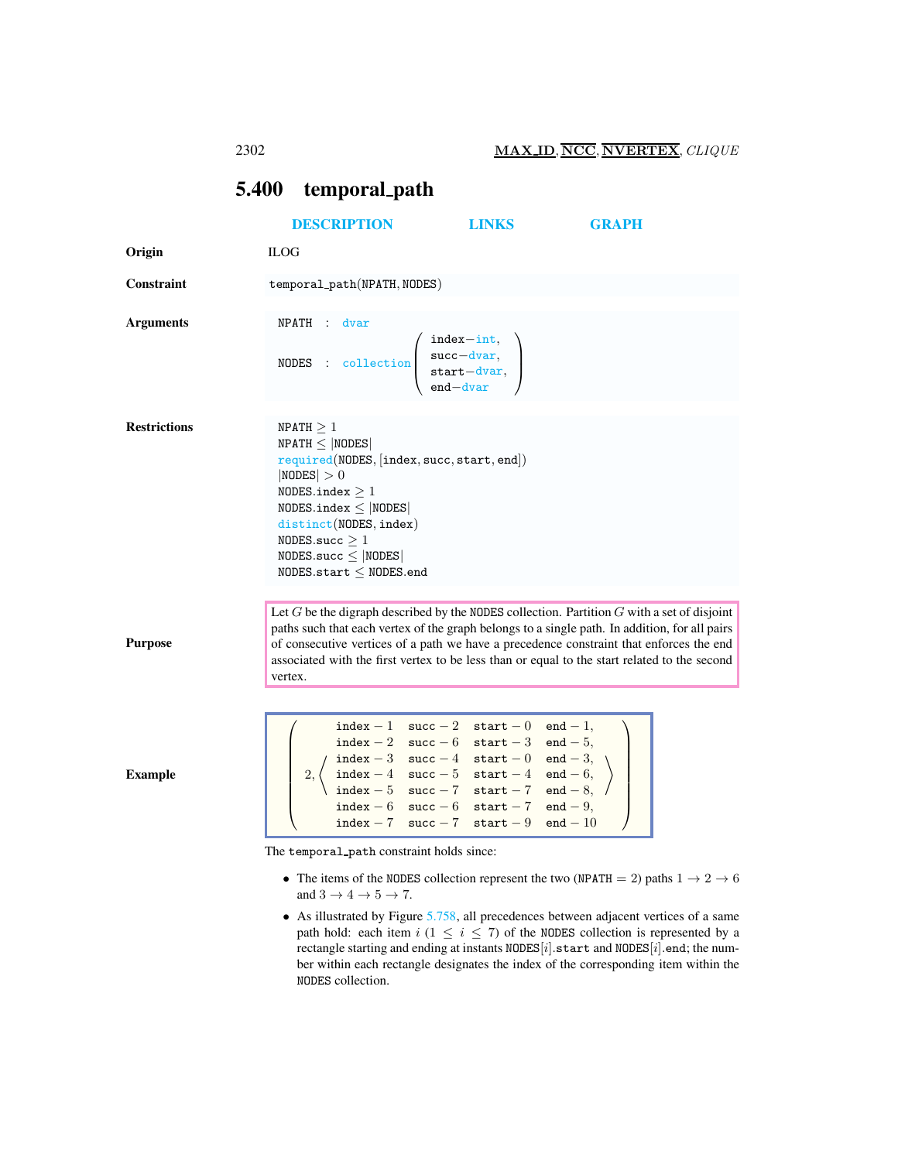## <span id="page-0-0"></span>5.400 temporal path

|                     | <b>DESCRIPTION</b>                                                                                                                                                                                                                                                      | <b>LINKS</b>                                                                                                                                                                                                                                                                                               | <b>GRAPH</b>                                                                                                                                                                                                                                                                                                                                                                               |  |
|---------------------|-------------------------------------------------------------------------------------------------------------------------------------------------------------------------------------------------------------------------------------------------------------------------|------------------------------------------------------------------------------------------------------------------------------------------------------------------------------------------------------------------------------------------------------------------------------------------------------------|--------------------------------------------------------------------------------------------------------------------------------------------------------------------------------------------------------------------------------------------------------------------------------------------------------------------------------------------------------------------------------------------|--|
| Origin              | <b>ILOG</b>                                                                                                                                                                                                                                                             |                                                                                                                                                                                                                                                                                                            |                                                                                                                                                                                                                                                                                                                                                                                            |  |
| <b>Constraint</b>   | temporal_path(NPATH, NODES)                                                                                                                                                                                                                                             |                                                                                                                                                                                                                                                                                                            |                                                                                                                                                                                                                                                                                                                                                                                            |  |
| <b>Arguments</b>    | NPATH : dvar<br>NODES : collection $\begin{pmatrix} \text{index} - \text{int,} \\ \text{succ-dvar,} \\ \text{start-dvar,} \\ \text{end-dvar} \end{pmatrix}$                                                                                                             |                                                                                                                                                                                                                                                                                                            |                                                                                                                                                                                                                                                                                                                                                                                            |  |
| <b>Restrictions</b> | NPATH $\geq 1$<br>$NPATH \leq  NODES $<br>required(NODES, [index, succ, start, end])<br> NODES  > 0<br>NODES.index $\geq 1$<br>NODES.index $\leq$  NODES <br>distinct(NODES, index)<br>NODES.succ $\geq 1$<br>$NODES.size \leq  NODES $<br>NODES.start $\leq$ NODES.end |                                                                                                                                                                                                                                                                                                            |                                                                                                                                                                                                                                                                                                                                                                                            |  |
| <b>Purpose</b>      | vertex.                                                                                                                                                                                                                                                                 |                                                                                                                                                                                                                                                                                                            | Let $G$ be the digraph described by the NODES collection. Partition $G$ with a set of disjoint<br>paths such that each vertex of the graph belongs to a single path. In addition, for all pairs<br>of consecutive vertices of a path we have a precedence constraint that enforces the end<br>associated with the first vertex to be less than or equal to the start related to the second |  |
| <b>Example</b>      |                                                                                                                                                                                                                                                                         | index - 1 $succ - 2$ start - 0 end - 1,<br>index - 2 succ - 6 start - 3 end - 5,<br>index - 3 succ - 4 start - 0 end - 3,<br>index - 4 succ - 5 start - 4 end - 6,<br>index - 5 succ - 7 start - 7 end - 8,<br>$index - 6$ succ $- 6$ start $- 7$ end $- 9$ ,<br>index $-7$ succ $-7$ start $-9$ end $-10$ |                                                                                                                                                                                                                                                                                                                                                                                            |  |
|                     | The temporal path constraint holds since:<br>and $3 \rightarrow 4 \rightarrow 5 \rightarrow 7$ .<br>$\mathbf{r}$                                                                                                                                                        | $- - - - -$                                                                                                                                                                                                                                                                                                | • The items of the NODES collection represent the two (NPATH = 2) paths $1 \rightarrow 2 \rightarrow 6$                                                                                                                                                                                                                                                                                    |  |

• As illustrated by Figure [5.758,](#page-1-0) all precedences between adjacent vertices of a same path hold: each item  $i$  (1  $\leq i \leq 7$ ) of the NODES collection is represented by a rectangle starting and ending at instants  $\mathtt{NODES}[i].\mathtt{start}$  and  $\mathtt{NODES}[i].\mathtt{end};$  the number within each rectangle designates the index of the corresponding item within the NODES collection.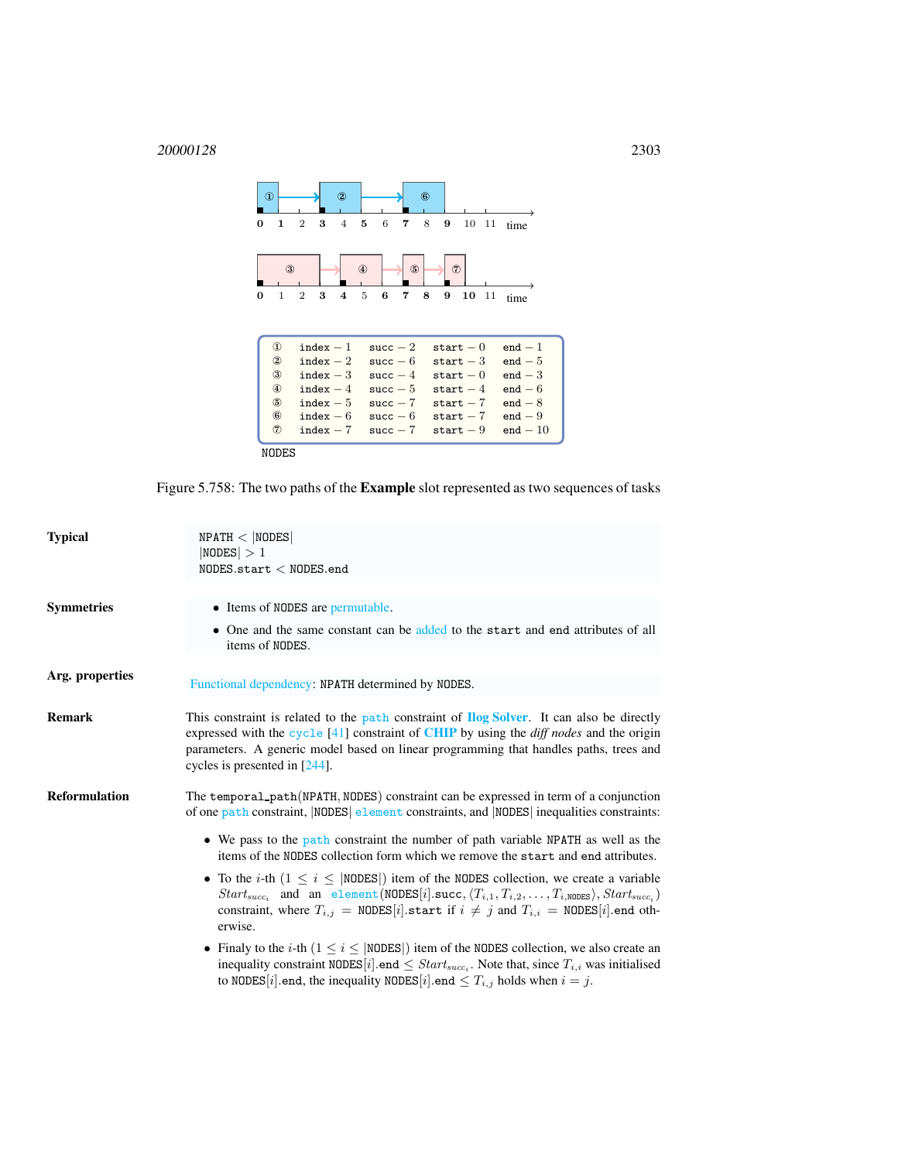

<span id="page-1-0"></span>Figure 5.758: The two paths of the Example slot represented as two sequences of tasks

| <b>Typical</b>    | NPATH <  NODES <br> NODES  > 1<br>NODES.start < NODES.end                                                                                                                                                                                                                                                                                           |
|-------------------|-----------------------------------------------------------------------------------------------------------------------------------------------------------------------------------------------------------------------------------------------------------------------------------------------------------------------------------------------------|
| <b>Symmetries</b> | • Items of NODES are permutable.                                                                                                                                                                                                                                                                                                                    |
|                   | • One and the same constant can be added to the start and end attributes of all<br>items of NODES.                                                                                                                                                                                                                                                  |
| Arg. properties   | Functional dependency: NPATH determined by NODES.                                                                                                                                                                                                                                                                                                   |
| <b>Remark</b>     | This constraint is related to the path constraint of <b>Ilog Solver</b> . It can also be directly<br>expressed with the cycle $[41]$ constraint of <b>CHIP</b> by using the <i>diff nodes</i> and the origin<br>parameters. A generic model based on linear programming that handles paths, trees and<br>cycles is presented in $[244]$ .           |
| Reformulation     | The temporal_path(NPATH, NODES) constraint can be expressed in term of a conjunction<br>of one path constraint, NODES element constraints, and NODES inequalities constraints:                                                                                                                                                                      |
|                   | • We pass to the path constraint the number of path variable NPATH as well as the<br>items of the NODES collection form which we remove the start and end attributes.                                                                                                                                                                               |
|                   | • To the <i>i</i> -th $(1 \le i \le  NODES )$ item of the NODES collection, we create a variable<br>$Start_{succ_i}$ and an element (NODES [i].succ, $\langle T_{i,1}, T_{i,2}, \ldots, T_{i,\text{NODES}} \rangle$ , $Start_{succ_i}$ )<br>constraint, where $T_{i,j}$ = NODES[i] start if $i \neq j$ and $T_{i,i}$ = NODES[i] end oth-<br>erwise. |
|                   | • Finaly to the <i>i</i> -th $(1 \le i \le  NODES )$ item of the NODES collection, we also create an<br>inequality constraint NODES [i] end $\leq Start_{succ_i}$ . Note that, since $T_{i,i}$ was initialised<br>to NODES [i] end, the inequality NODES [i] end $\leq T_{i,j}$ holds when $i = j$ .                                                |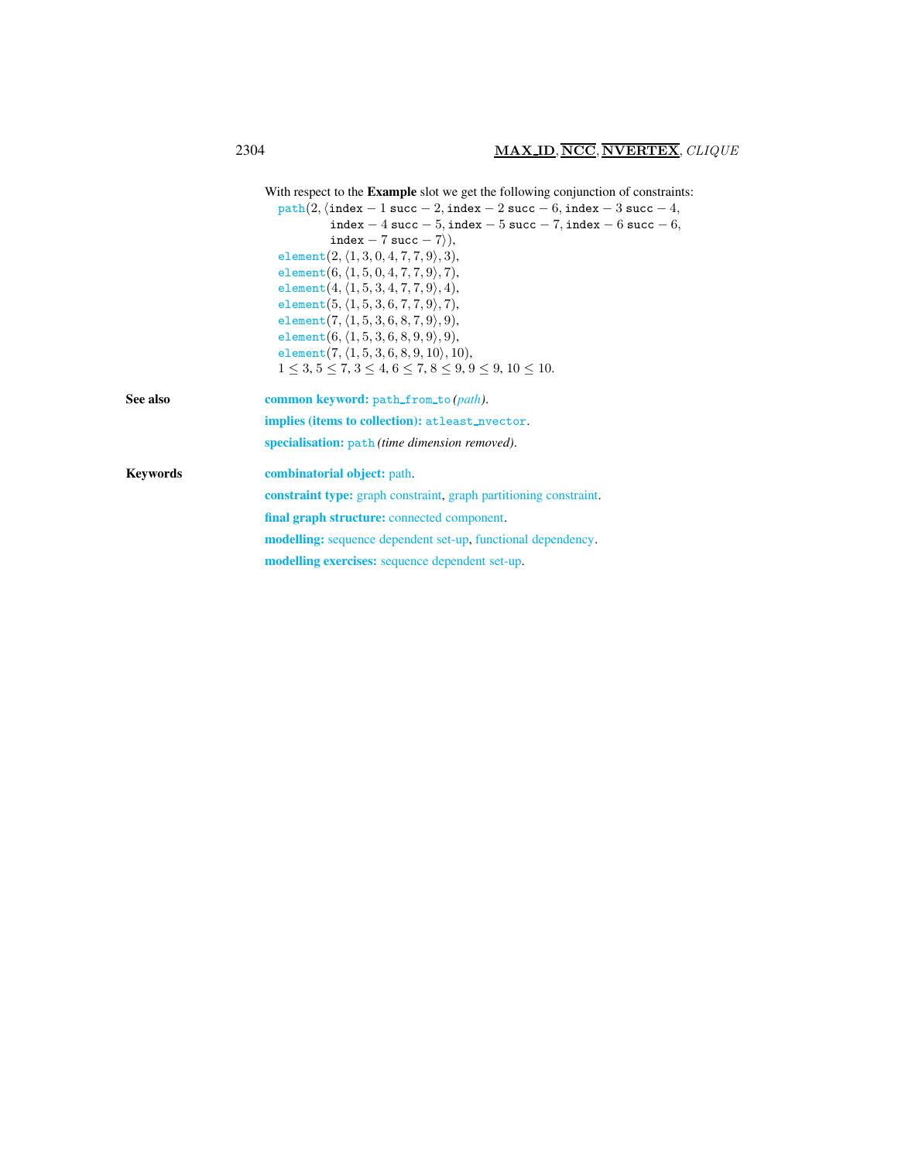<span id="page-2-0"></span>

|          | With respect to the <b>Example</b> slot we get the following conjunction of constraints: |
|----------|------------------------------------------------------------------------------------------|
|          | $path(2, \{index - 1 succ - 2, index - 2 succ - 6, index - 3 succ - 4,$                  |
|          | index $-4$ succ $-5$ , index $-5$ succ $-7$ , index $-6$ succ $-6$ ,                     |
|          | index $-7$ succ $-7$ ),                                                                  |
|          | element $(2, (1, 3, 0, 4, 7, 7, 9), 3),$                                                 |
|          | element $(6, (1, 5, 0, 4, 7, 7, 9), 7)$ ,                                                |
|          | element $(4, (1, 5, 3, 4, 7, 7, 9), 4)$ ,                                                |
|          | element $(5, (1, 5, 3, 6, 7, 7, 9), 7)$ ,                                                |
|          | element $(7, (1, 5, 3, 6, 8, 7, 9), 9)$ ,                                                |
|          | element $(6, (1, 5, 3, 6, 8, 9, 9), 9)$ ,                                                |
|          | element $(7, (1, 5, 3, 6, 8, 9, 10), 10)$ ,                                              |
|          | $1 \leq 3, 5 \leq 7, 3 \leq 4, 6 \leq 7, 8 \leq 9, 9 \leq 9, 10 \leq 10.$                |
| See also | common keyword: path_from_to(path).                                                      |
|          | implies (items to collection): at least_nvector.                                         |
|          | specialisation: path (time dimension removed).                                           |
| Keywords | <b>combinatorial object:</b> path.                                                       |
|          | <b>constraint type:</b> graph constraint, graph partitioning constraint.                 |
|          | final graph structure: connected component.                                              |
|          | <b>modelling:</b> sequence dependent set-up, functional dependency.                      |
|          | <b>modelling exercises:</b> sequence dependent set-up.                                   |
|          |                                                                                          |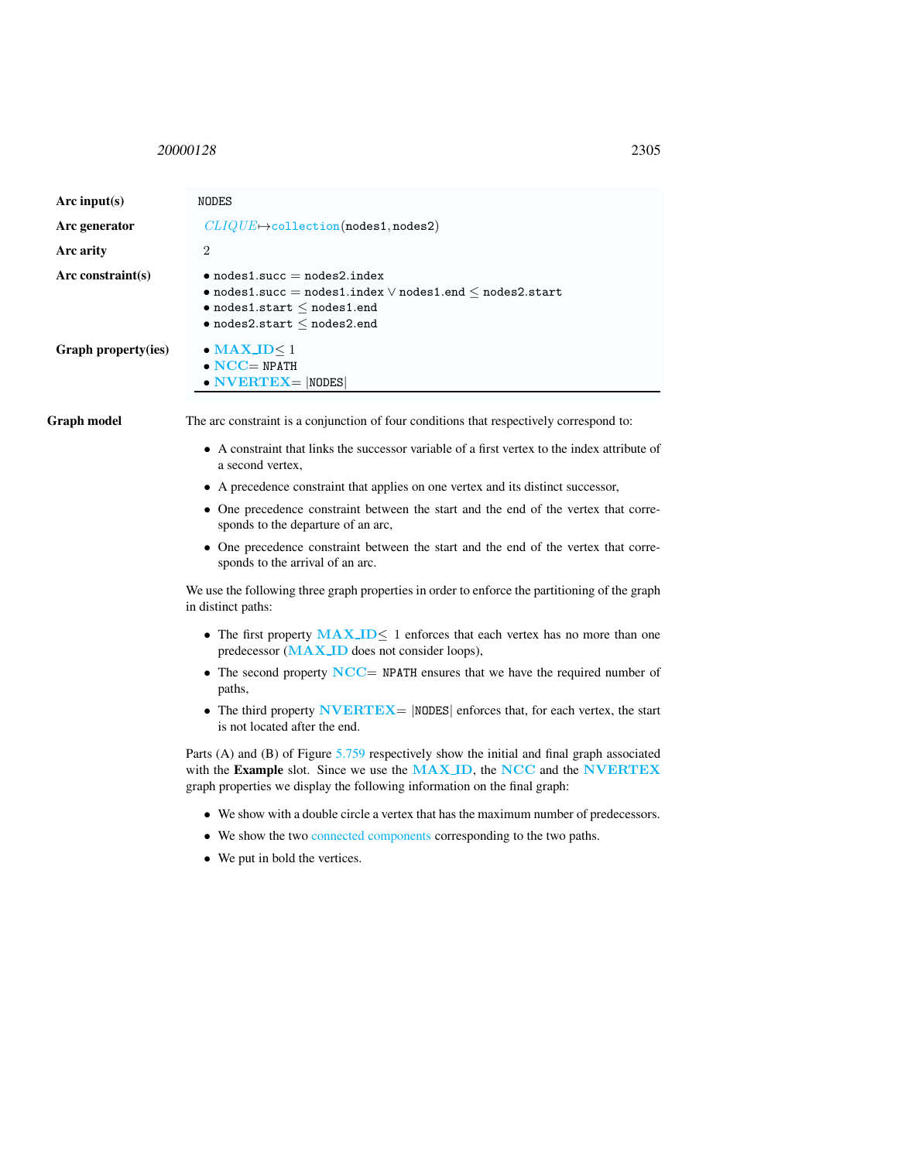## <span id="page-3-0"></span><sup>20000128</sup> 2305

| Arc input(s)        | <b>NODES</b>                                                                                                                                                                                               |
|---------------------|------------------------------------------------------------------------------------------------------------------------------------------------------------------------------------------------------------|
| Arc generator       | $CLIQUE \rightarrow collection(nodes1, nodes2)$                                                                                                                                                            |
| Arc arity           | $\overline{2}$                                                                                                                                                                                             |
| Arc constraint(s)   | $\bullet$ nodes1.succ = nodes2.index<br>$\bullet$ nodes1.succ = nodes1.index $\lor$ nodes1.end $\leq$ nodes2.start<br>$\bullet$ nodes1.start $\leq$ nodes1.end<br>$\bullet$ nodes2.start $\leq$ nodes2.end |
| Graph property(ies) | $\bullet$ MAX ID < 1<br>$\bullet$ NCC= NPATH<br>$\bullet$ NVERTEX=  NODES                                                                                                                                  |
| Graph model         | The arc constraint is a conjunction of four conditions that respectively correspond to:                                                                                                                    |
|                     | • A constraint that links the successor variable of a first vertex to the index attribute of<br>a second vertex,                                                                                           |
|                     | • A precedence constraint that applies on one vertex and its distinct successor,                                                                                                                           |
|                     | • One precedence constraint between the start and the end of the vertex that corre-<br>sponds to the departure of an arc,                                                                                  |
|                     | • One precedence constraint between the start and the end of the vertex that corre-<br>sponds to the arrival of an arc.                                                                                    |
|                     | We use the following three graph properties in order to enforce the partitioning of the graph<br>in distinct paths:                                                                                        |
|                     | • The first property $\text{MAX}$ , ID< 1 enforces that each vertex has no more than one<br>predecessor (MAX_ID does not consider loops),                                                                  |
|                     | • The second property $NCC = NPATH$ ensures that we have the required number of<br>paths,                                                                                                                  |
|                     | • The third property $\bf{NVERTEX}$   NODES   enforces that, for each vertex, the start<br>is not located after the end.                                                                                   |
|                     | Dorts $(\Lambda)$ and $(\mathbb{R})$ of Figure 5.750 respectively show the initial and final graph associated                                                                                              |

Parts (A) and (B) of Figure [5.759](#page-4-0) respectively show the initial and final graph associated with the Example slot. Since we use the MAX\_ID, the NCC and the NVERTEX graph properties we display the following information on the final graph:

- We show with a double circle a vertex that has the maximum number of predecessors.
- We show the two connected components corresponding to the two paths.
- We put in bold the vertices.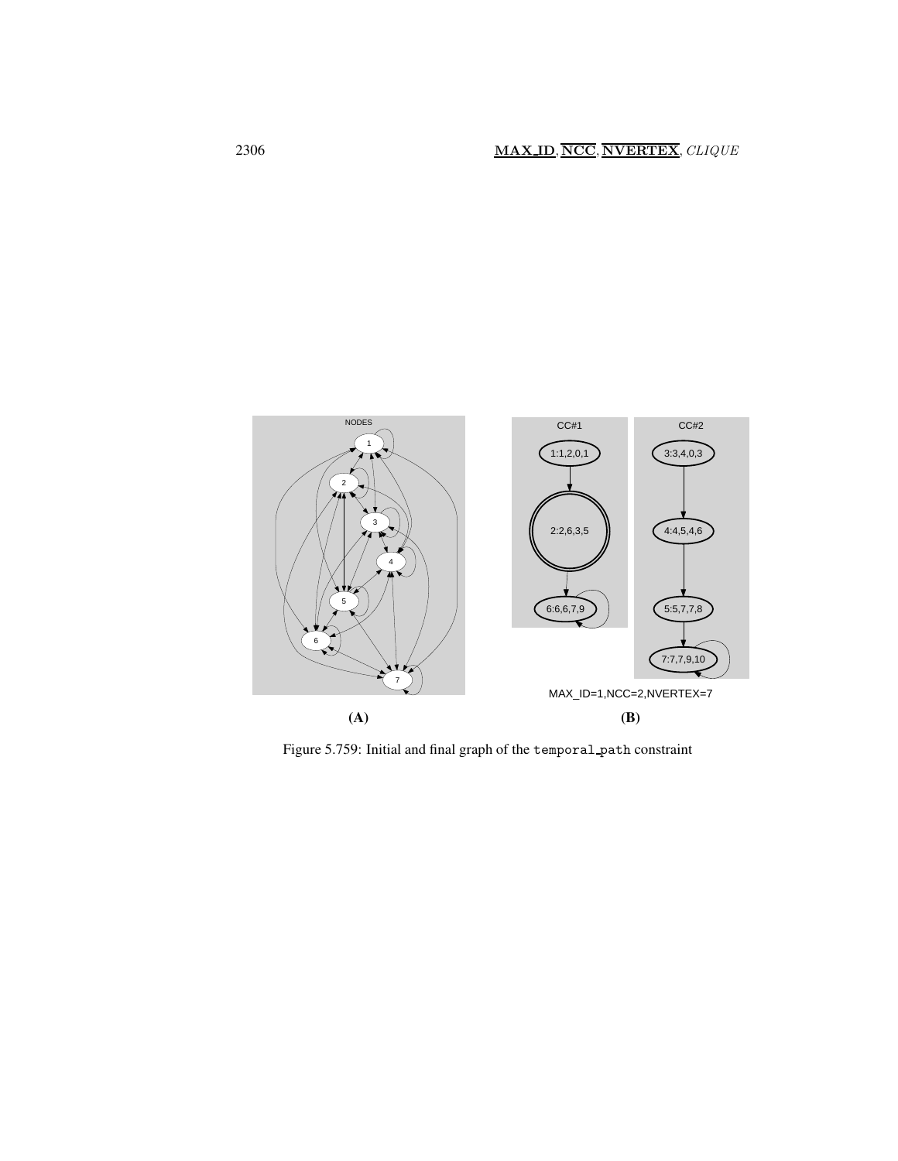

<span id="page-4-0"></span>Figure 5.759: Initial and final graph of the temporal path constraint